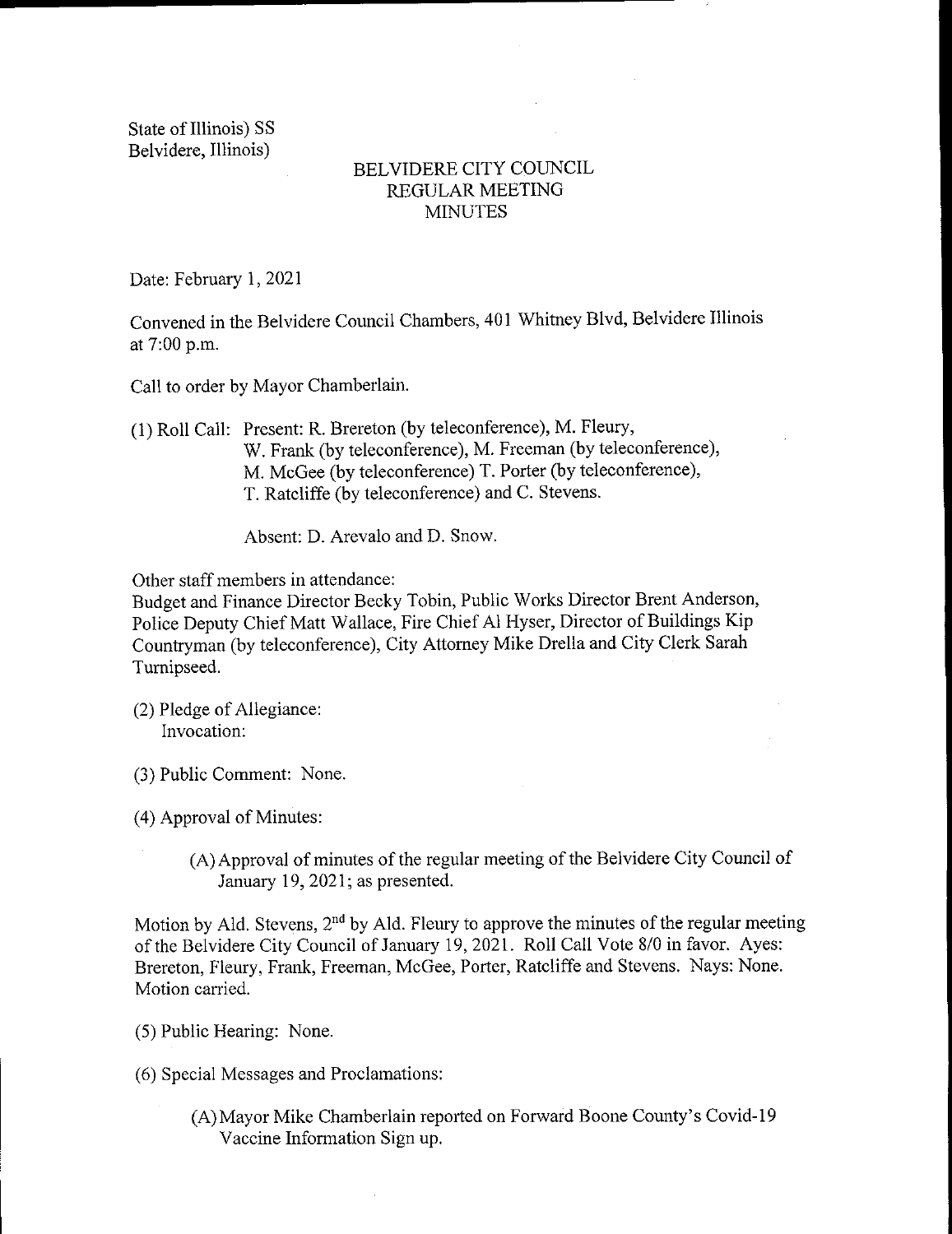State of Illinois) SS Belvidere, Illinois)

## BELVIDERE CITY COUNCIL REGULAR MEETING **MINUTES**

Date: February 1, 2021

Convened in the Belvidere Council Chambers, 401 Whitney Blvd, Belvidere Illinois at 7:00 p.m.

Call to order by Mayor Chamberlain.

1) Roll Call: Present: R. Brereton ( by teleconference), M. Fleury, W. Frank (by teleconference), M. Freeman (by teleconference), M. McGee (by teleconference) T. Porter (by teleconference), T. Ratcliffe ( by teleconference) and C. Stevens.

Absent: D. Arevalo and D. Snow.

Other staff members in attendance:

Budget and Finance Director Becky Tobin, Public Works Director Brent Anderson, Police Deputy Chief Matt Wallace, Fire Chief Al Hyser, Director of Buildings Kip Countryman (by teleconference), City Attorney Mike Drella and City Clerk Sarah Turnipseed.

- 2) Pledge of Allegiance: Invocation:
- 3) Public Comment: None.

4) Approval of Minutes:

A) Approval of minutes of the regular meeting of the Belvidere City Council of January 19, 2021; as presented.

Motion by Ald. Stevens, 2<sup>nd</sup> by Ald. Fleury to approve the minutes of the regular meeting of the Belvidere City Council of January 19, 2021. Roll Call Vote 8/0 in favor. Ayes: Brereton, Fleury, Frank, Freeman, McGee, Porter, Ratcliffe and Stevens. Nays: None. Motion carried.

5) Public Hearing: None.

6) Special Messages and Proclamations:

A) Mayor Mike Chamberlain reported on Forward Boone County' <sup>s</sup> Covid- 19 Vaccine Information Sign up.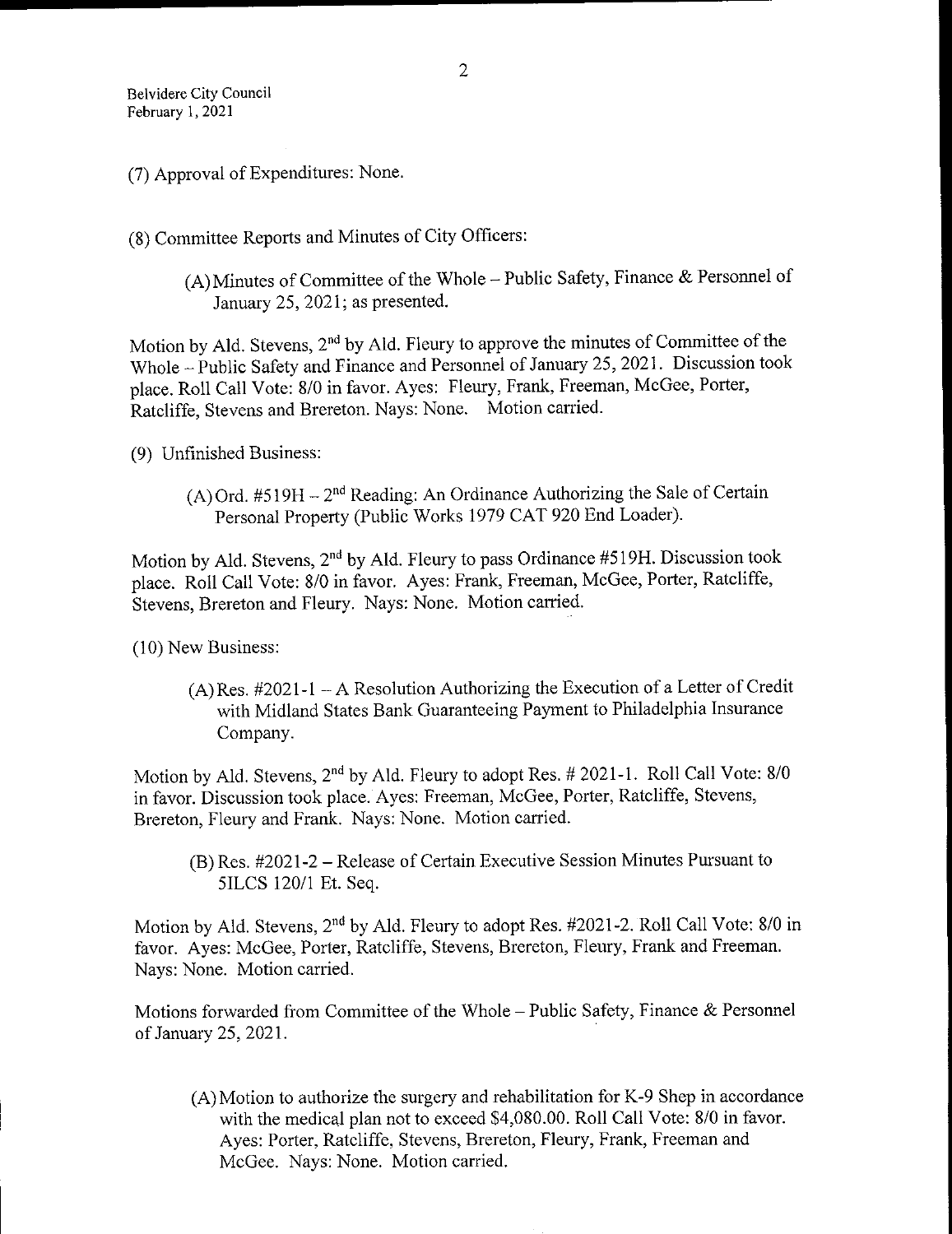7) Approval of Expenditures: None.

8) Committee Reports and Minutes of City Officers:

A) Minutes of Committee of the Whole— Public Safety, Finance & Personnel of January 25, 2021; as presented.

Motion by Ald. Stevens,  $2<sup>nd</sup>$  by Ald. Fleury to approve the minutes of Committee of the Whole—Public Safety and Finance and Personnel of January 25, 2021. Discussion took place. Roll Call Vote: 8/0 in favor. Ayes: Fleury, Frank, Freeman, McGee, Porter, Ratcliffe, Stevens and Brereton. Nays: None. Motion carried.

- 9) Unfinished Business:
	- (A) Ord.  $#519H 2^{nd}$  Reading: An Ordinance Authorizing the Sale of Certain Personal Property (Public Works 1979 CAT 920 End Loader).

Motion by Ald. Stevens,  $2<sup>nd</sup>$  by Ald. Fleury to pass Ordinance #519H. Discussion took place. Roll Call Vote: 8/0 in favor. Ayes: Frank, Freeman, McGee, Porter, Ratcliffe, Stevens, Brereton and Fleury. Nays: None. Motion carried.

10) New Business:

 $(A)$  Res. #2021-1 – A Resolution Authorizing the Execution of a Letter of Credit with Midland States Bank Guaranteeing Payment to Philadelphia Insurance Company.

Motion by Ald. Stevens, 2<sup>nd</sup> by Ald. Fleury to adopt Res. # 2021-1. Roll Call Vote: 8/0 in favor. Discussion took place. Ayes: Freeman, McGee, Porter, Ratcliffe, Stevens, Brereton, Fleury and Frank. Nays: None. Motion carried.

 $(B)$  Res. #2021-2 – Release of Certain Executive Session Minutes Pursuant to 5ILCS 120/1 Et. Seq.

Motion by Ald. Stevens, 2<sup>nd</sup> by Ald. Fleury to adopt Res. #2021-2. Roll Call Vote: 8/0 in favor. Ayes: McGee, Porter, Ratcliffe, Stevens, Brereton, Fleury, Frank and Freeman. Nays: None. Motion carried.

Motions forwarded from Committee of the Whole— Public Safety, Finance & Personnel of January 25, 2021.

A) Motion to authorize the surgery and rehabilitation for K-9 Shep in accordance with the medical plan not to exceed \$4,080.00. Roll Call Vote: 8/0 in favor. Ayes: Porter, Ratcliffe, Stevens, Brereton, Fleury, Frank, Freeman and McGee. Nays: None. Motion carried.